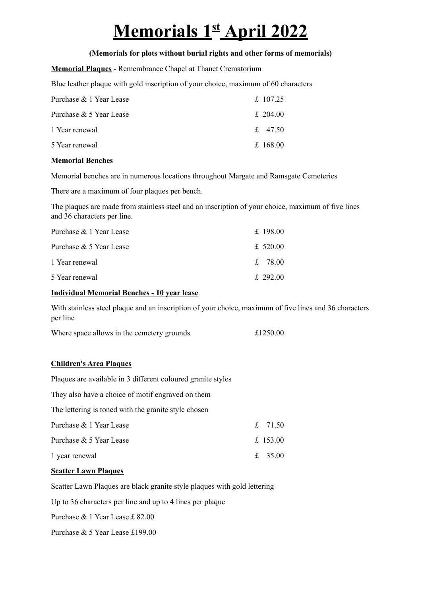# **Memorials 1 st April 2022**

## **(Memorials for plots without burial rights and other forms of memorials)**

**Memorial Plaques** - Remembrance Chapel at Thanet Crematorium

Blue leather plaque with gold inscription of your choice, maximum of 60 characters

| Purchase & 1 Year Lease | £ 107.25 |
|-------------------------|----------|
| Purchase & 5 Year Lease | £ 204.00 |
| 1 Year renewal          | £ 47.50  |
| 5 Year renewal          | £ 168.00 |

## **Memorial Benches**

Memorial benches are in numerous locations throughout Margate and Ramsgate Cemeteries

There are a maximum of four plaques per bench.

The plaques are made from stainless steel and an inscription of your choice, maximum of five lines and 36 characters per line.

| Purchase & 1 Year Lease | £ 198.00   |
|-------------------------|------------|
| Purchase & 5 Year Lease | £ 520.00   |
| 1 Year renewal          | $f = 7800$ |
| 5 Year renewal          | $£$ 292 00 |

## **Individual Memorial Benches - 10 year lease**

With stainless steel plaque and an inscription of your choice, maximum of five lines and 36 characters per line

| Where space allows in the cemetery grounds | £1250.00 |
|--------------------------------------------|----------|
|--------------------------------------------|----------|

# **Children's Area Plaques**

Plaques are available in 3 different coloured granite styles

They also have a choice of motif engraved on them

The lettering is toned with the granite style chosen

| Purchase & 1 Year Lease | f. 7150    |
|-------------------------|------------|
| Purchase & 5 Year Lease | £ 153.00   |
| 1 year renewal          | $f = 3500$ |

#### **Scatter Lawn Plaques**

Scatter Lawn Plaques are black granite style plaques with gold lettering

Up to 36 characters per line and up to 4 lines per plaque

Purchase & 1 Year Lease £ 82.00

Purchase & 5 Year Lease £199.00